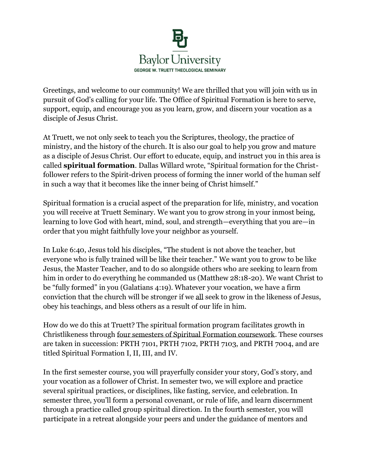

Greetings, and welcome to our community! We are thrilled that you will join with us in pursuit of God's calling for your life. The Office of Spiritual Formation is here to serve, support, equip, and encourage you as you learn, grow, and discern your vocation as a disciple of Jesus Christ.

At Truett, we not only seek to teach you the Scriptures, theology, the practice of ministry, and the history of the church. It is also our goal to help you grow and mature as a disciple of Jesus Christ. Our effort to educate, equip, and instruct you in this area is called **spiritual formation**. Dallas Willard wrote, "Spiritual formation for the Christfollower refers to the Spirit-driven process of forming the inner world of the human self in such a way that it becomes like the inner being of Christ himself."

Spiritual formation is a crucial aspect of the preparation for life, ministry, and vocation you will receive at Truett Seminary. We want you to grow strong in your inmost being, learning to love God with heart, mind, soul, and strength—everything that you are—in order that you might faithfully love your neighbor as yourself.

In Luke 6:40, Jesus told his disciples, "The student is not above the teacher, but everyone who is fully trained will be like their teacher." We want you to grow to be like Jesus, the Master Teacher, and to do so alongside others who are seeking to learn from him in order to do everything he commanded us (Matthew 28:18-20). We want Christ to be "fully formed" in you (Galatians 4:19). Whatever your vocation, we have a firm conviction that the church will be stronger if we all seek to grow in the likeness of Jesus, obey his teachings, and bless others as a result of our life in him.

How do we do this at Truett? The spiritual formation program facilitates growth in Christlikeness through four semesters of Spiritual Formation coursework. These courses are taken in succession: PRTH 7101, PRTH 7102, PRTH 7103, and PRTH 7004, and are titled Spiritual Formation I, II, III, and IV.

In the first semester course, you will prayerfully consider your story, God's story, and your vocation as a follower of Christ. In semester two, we will explore and practice several spiritual practices, or disciplines, like fasting, service, and celebration. In semester three, you'll form a personal covenant, or rule of life, and learn discernment through a practice called group spiritual direction. In the fourth semester, you will participate in a retreat alongside your peers and under the guidance of mentors and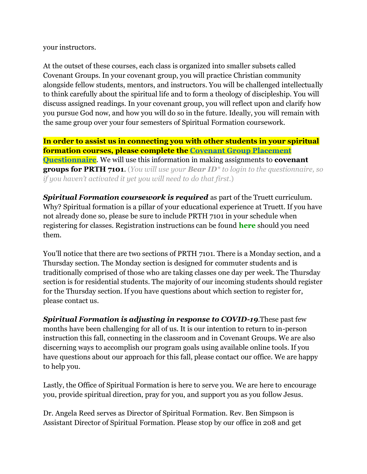your instructors.

At the outset of these courses, each class is organized into smaller subsets called Covenant Groups. In your covenant group, you will practice Christian community alongside fellow students, mentors, and instructors. You will be challenged intellectually to think carefully about the spiritual life and to form a theology of discipleship. You will discuss assigned readings. In your covenant group, you will reflect upon and clarify how you pursue God now, and how you will do so in the future. Ideally, you will remain with the same group over your four semesters of Spiritual Formation coursework.

**In order to assist us in connecting you with other students in your spiritual formation courses, please complete the [Covenant Group Placement](https://nam02.safelinks.protection.outlook.com/?url=https%3A%2F%2Fmx.technolutions.net%2Fss%2Fc%2Fgsby7xed_Q9kJKoUKuDGdEX6AAblOGpDhbyjw_5AogavLp2-J_dGpqdK7YlwT5fb4gRRSvOLDd1QWRp1SUIkvfO7UTbbgR7qucB-0XJB4x0ViiLozNwng6c3Wr80TzeU0zcVsCOy8ldG8_Hv4WKXNmWVoMmFoQwjOcl0D1p9Vec0d5DzL40zBg8V1AVt8AiH%2F33o%2FZEJYy--RRTWwhIQu2ZXYiA%2Fh2%2FAVEotNJGtJZXYyCy0-qUHrFS80ygAySfG7umS4aWCck&data=01%7C01%7Cmaxcey_blaylock%40baylor.edu%7C5f3f9105b7924bf037ca08d82e540d8b%7C22d2fb35256a459bbcf4dc23d42dc0a4%7C0&sdata=SN%2FFZc1xohVL4K%2F2h03wk6jTBSdx8uCt86FcMIAfMFk%3D&reserved=0)  [Questionnaire](https://nam02.safelinks.protection.outlook.com/?url=https%3A%2F%2Fmx.technolutions.net%2Fss%2Fc%2Fgsby7xed_Q9kJKoUKuDGdEX6AAblOGpDhbyjw_5AogavLp2-J_dGpqdK7YlwT5fb4gRRSvOLDd1QWRp1SUIkvfO7UTbbgR7qucB-0XJB4x0ViiLozNwng6c3Wr80TzeU0zcVsCOy8ldG8_Hv4WKXNmWVoMmFoQwjOcl0D1p9Vec0d5DzL40zBg8V1AVt8AiH%2F33o%2FZEJYy--RRTWwhIQu2ZXYiA%2Fh2%2FAVEotNJGtJZXYyCy0-qUHrFS80ygAySfG7umS4aWCck&data=01%7C01%7Cmaxcey_blaylock%40baylor.edu%7C5f3f9105b7924bf037ca08d82e540d8b%7C22d2fb35256a459bbcf4dc23d42dc0a4%7C0&sdata=SN%2FFZc1xohVL4K%2F2h03wk6jTBSdx8uCt86FcMIAfMFk%3D&reserved=0)**. We will use this information in making assignments to **covenant groups for PRTH 7101**. (*You will use your Bear ID\* to login to the questionnaire, so if you haven't activated it yet you will need to do that first*.)

*Spiritual Formation coursework is required* as part of the Truett curriculum. Why? Spiritual formation is a pillar of your educational experience at Truett. If you have not already done so, please be sure to include PRTH 7101 in your schedule when registering for classes. Registration instructions can be found **[here](https://nam02.safelinks.protection.outlook.com/?url=https%3A%2F%2Fmx.technolutions.net%2Fss%2Fc%2Fgsby7xed_Q9kJKoUKuDGdPhnbxuWpr9WdSIiOYgyWZE6zAZaFToMeAdz5bvPtfzdfhxr9o1yXdB3RT4Ukke5ug%2F33o%2FZEJYy--RRTWwhIQu2ZXYiA%2Fh3%2FDiW3ojNGDm6wZu4-evHyUbkbllt7zGrwJt26_8R8-gc&data=01%7C01%7Cmaxcey_blaylock%40baylor.edu%7C5f3f9105b7924bf037ca08d82e540d8b%7C22d2fb35256a459bbcf4dc23d42dc0a4%7C0&sdata=VKlV%2FdLli5siaf6RMFZ%2FMoAMZkAa6LfePogA%2B75BdwY%3D&reserved=0)** should you need them.

You'll notice that there are two sections of PRTH 7101. There is a Monday section, and a Thursday section. The Monday section is designed for commuter students and is traditionally comprised of those who are taking classes one day per week. The Thursday section is for residential students. The majority of our incoming students should register for the Thursday section. If you have questions about which section to register for, please contact us.

*Spiritual Formation is adjusting in response to COVID-19.*These past few months have been challenging for all of us. It is our intention to return to in-person instruction this fall, connecting in the classroom and in Covenant Groups. We are also discerning ways to accomplish our program goals using available online tools. If you have questions about our approach for this fall, please contact our office. We are happy to help you.

Lastly, the Office of Spiritual Formation is here to serve you. We are here to encourage you, provide spiritual direction, pray for you, and support you as you follow Jesus.

Dr. Angela Reed serves as Director of Spiritual Formation. Rev. Ben Simpson is Assistant Director of Spiritual Formation. Please stop by our office in 208 and get